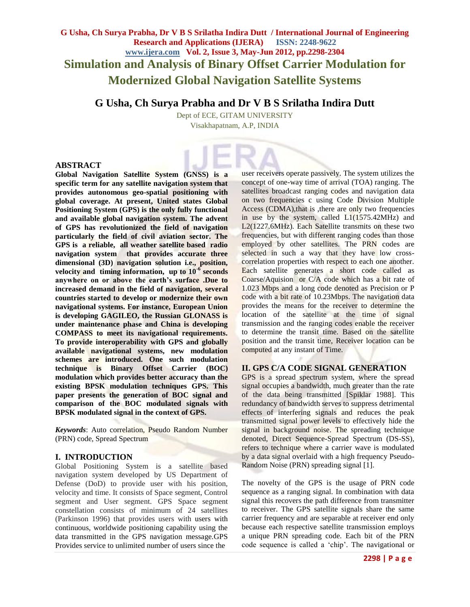# **G Usha, Ch Surya Prabha, Dr V B S Srilatha Indira Dutt / International Journal of Engineering Research and Applications (IJERA) ISSN: 2248-9622 www.ijera.com Vol. 2, Issue 3, May-Jun 2012, pp.2298-2304 Simulation and Analysis of Binary Offset Carrier Modulation for Modernized Global Navigation Satellite Systems**

## **G Usha, Ch Surya Prabha and Dr V B S Srilatha Indira Dutt**

Dept of ECE, GITAM UNIVERSITY Visakhapatnam, A.P, INDIA

**ABSTRACT**

**Global Navigation Satellite System (GNSS) is a specific term for any satellite navigation system that provides autonomous geo-spatial positioning with global coverage. At present, United states Global Positioning System (GPS) is the only fully functional and available global navigation system. The advent of GPS has revolutionized the field of navigation particularly the field of civil aviation sector. The GPS is a reliable, all weather satellite based radio navigation system that provides accurate three dimensional (3D) navigation solution i.e., position, velocity and timing information, up to 10-6 seconds anywhere on or above the earth's surface .Due to increased demand in the field of navigation, several countries started to develop or modernize their own navigational systems. For instance, European Union is developing GAGILEO, the Russian GLONASS is under maintenance phase and China is developing COMPASS to meet its navigational requirements. To provide interoperability with GPS and globally available navigational systems, new modulation schemes are introduced. One such modulation technique is Binary Offset Carrier (BOC) modulation which provides better accuracy than the existing BPSK modulation techniques GPS. This paper presents the generation of BOC signal and comparison of the BOC modulated signals with BPSK modulated signal in the context of GPS.**

*Keywords*: Auto correlation, Pseudo Random Number (PRN) code, Spread Spectrum

## **I. INTRODUCTION**

Global Positioning System is a satellite based navigation system developed by US Department of Defense (DoD) to provide user with his position, velocity and time. It consists of Space segment, Control segment and User segment. GPS Space segment constellation consists of minimum of 24 satellites (Parkinson 1996) that provides users with users with continuous, worldwide positioning capability using the data transmitted in the GPS navigation message.GPS Provides service to unlimited number of users since the

user receivers operate passively. The system utilizes the concept of one-way time of arrival (TOA) ranging. The satellites broadcast ranging codes and navigation data on two frequencies c using Code Division Multiple Access (CDMA),that is ,there are only two frequencies in use by the system, called  $L1(1575.42 \text{MHz})$  and L2(1227.6MHz). Each Satellite transmits on these two frequencies, but with different ranging codes than those employed by other satellites. The PRN codes are selected in such a way that they have low crosscorrelation properties with respect to each one another. Each satellite generates a short code called as Coarse/Aquision or C/A code which has a bit rate of 1.023 Mbps and a long code denoted as Precision or P code with a bit rate of 10.23Mbps. The navigation data provides the means for the receiver to determine the location of the satellite at the time of signal transmission and the ranging codes enable the receiver to determine the transit time. Based on the satellite position and the transit time, Receiver location can be computed at any instant of Time.

## **II. GPS C/A CODE SIGNAL GENERATION**

GPS is a spread spectrum system, where the spread signal occupies a bandwidth, much greater than the rate of the data being transmitted [Spiklar 1988]. This redundancy of bandwidth serves to suppress detrimental effects of interfering signals and reduces the peak transmitted signal power levels to effectively hide the signal in background noise. The spreading technique denoted, Direct Sequence-Spread Spectrum (DS-SS), refers to technique where a carrier wave is modulated by a data signal overlaid with a high frequency Pseudo-Random Noise (PRN) spreading signal [1].

The novelty of the GPS is the usage of PRN code sequence as a ranging signal. In combination with data signal this recovers the path difference from transmitter to receiver. The GPS satellite signals share the same carrier frequency and are separable at receiver end only because each respective satellite transmission employs a unique PRN spreading code. Each bit of the PRN code sequence is called a "chip". The navigational or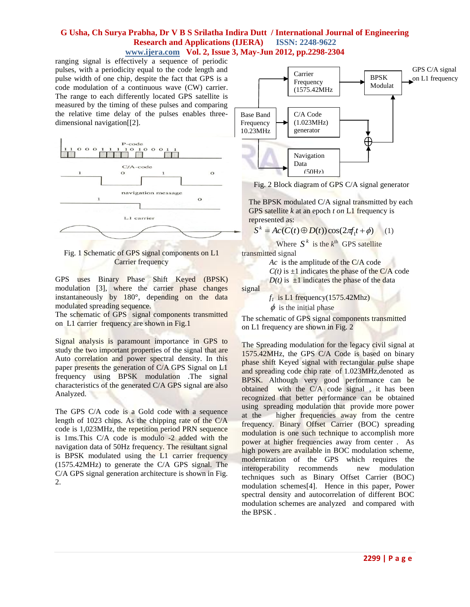ranging signal is effectively a sequence of periodic pulses, with a periodicity equal to the code length and pulse width of one chip, despite the fact that GPS is a code modulation of a continuous wave (CW) carrier. The range to each differently located GPS satellite is measured by the timing of these pulses and comparing the relative time delay of the pulses enables threedimensional navigation[[2].



Fig. 1 Schematic of GPS signal components on L1 Carrier frequency

GPS uses Binary Phase Shift Keyed (BPSK) modulation [3], where the carrier phase changes instantaneously by 180°, depending on the data modulated spreading sequence.

The schematic of GPS signal components transmitted on L1 carrier frequency are shown in Fig.1

Signal analysis is paramount importance in GPS to study the two important properties of the signal that are Auto correlation and power spectral density. In this paper presents the generation of C/A GPS Signal on L1 frequency using BPSK modulation .The signal characteristics of the generated C/A GPS signal are also Analyzed.

The GPS C/A code is a Gold code with a sequence length of 1023 chips. As the chipping rate of the C/A code is 1,023MHz, the repetition period PRN sequence is 1ms.This C/A code is modulo -2 added with the navigation data of 50Hz frequency. The resultant signal is BPSK modulated using the L1 carrier frequency (1575.42MHz) to generate the C/A GPS signal. The C/A GPS signal generation architecture is shown in Fig. 2.



Fig. 2 Block diagram of GPS C/A signal generator

The BPSK modulated C/A signal transmitted by each GPS satellite *k* at an epoch *t on* L1 frequency is represented as:

$$
S^k = Ac(C(t) \oplus D(t))\cos(2\pi f_1 t + \phi)
$$
 (1)

Where  $S^k$  is the  $k^{\text{th}}$  GPS satellite

transmitted signal

*Ac* is the amplitude of the C/A code

 $C(t)$  is  $\pm 1$  indicates the phase of the C/A code

 $D(t)$  is  $\pm 1$  indicates the phase of the data

signal

 $f_1$  is L1 frequency( $1575.42$ Mhz)

 $\phi$  is the initial phase

The schematic of GPS signal components transmitted on L1 frequency are shown in Fig. 2

The Spreading modulation for the legacy civil signal at 1575.42MHz, the GPS C/A Code is based on binary phase shift Keyed signal with rectangular pulse shape and spreading code chip rate of 1.023MHz,denoted as BPSK. Although very good performance can be obtained with the C/A code signal , it has been recognized that better performance can be obtained using spreading modulation that provide more power at the higher frequencies away from the centre frequency. Binary Offset Carrier (BOC) spreading modulation is one such technique to accomplish more power at higher frequencies away from center . As high powers are available in BOC modulation scheme, modernization of the GPS which requires the interoperability recommends new modulation techniques such as Binary Offset Carrier (BOC) modulation schemes[4]. Hence in this paper, Power spectral density and autocorrelation of different BOC modulation schemes are analyzed and compared with the BPSK .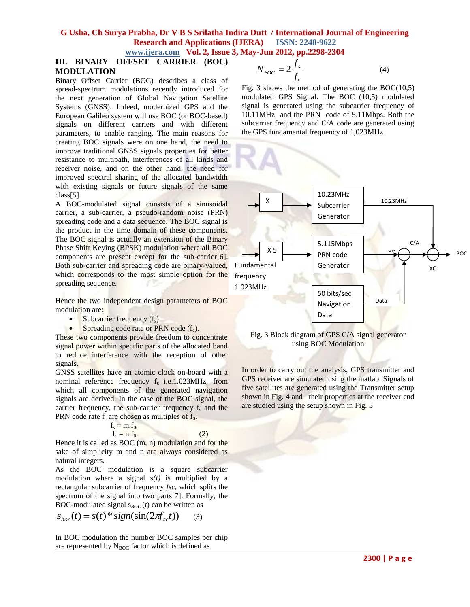**III. BINARY OFFSET CARRIER (BOC)**

## **MODULATION**

Binary Offset Carrier (BOC) describes a class of spread-spectrum modulations recently introduced for the next generation of Global Navigation Satellite Systems (GNSS). Indeed, modernized GPS and the European Galileo system will use BOC (or BOC-based) signals on different carriers and with different parameters, to enable ranging. The main reasons for creating BOC signals were on one hand, the need to improve traditional GNSS signals properties for better resistance to multipath, interferences of all kinds and receiver noise, and on the other hand, the need for improved spectral sharing of the allocated bandwidth with existing signals or future signals of the same class[5].

A BOC-modulated signal consists of a sinusoidal carrier, a sub-carrier, a pseudo-random noise (PRN) spreading code and a data sequence. The BOC signal is the product in the time domain of these components. The BOC signal is actually an extension of the Binary Phase Shift Keying (BPSK) modulation where all BOC components are present except for the sub-carrier[6]. Both sub-carrier and spreading code are binary-valued, which corresponds to the most simple option for the spreading sequence.

Hence the two independent design parameters of BOC modulation are:

- Subcarrier frequency  $(f_s)$
- Spreading code rate or PRN code  $(f_c)$ .

These two components provide freedom to concentrate signal power within specific parts of the allocated band to reduce interference with the reception of other signals.

GNSS satellites have an atomic clock on-board with a nominal reference frequency  $f_0$  i.e.1.023MHz, from which all components of the generated navigation signals are derived. In the case of the BOC signal, the carrier frequency, the sub-carrier frequency  $f_s$  and the PRN code rate  $f_c$  are chosen as multiples of  $f_0$ .

$$
f_s = m.f_0,
$$
  
\n
$$
f_c = n.f_0.
$$
\n(2)

Hence it is called as BOC (m, n) modulation and for the sake of simplicity m and n are always considered as natural integers.

As the BOC modulation is a square subcarrier modulation where a signal s*(t)* is multiplied by a rectangular subcarrier of frequency *fsc*, which splits the spectrum of the signal into two parts[7]. Formally, the BOC-modulated signal  $s_{BOC}(t)$  can be written as

$$
s_{boc}(t) = s(t) * sign(sin(2\pi f_{sc}t))
$$
 (3)

In BOC modulation the number BOC samples per chip are represented by  $N_{\text{BOC}}$  factor which is defined as

$$
N_{BOC} = 2\frac{f_s}{f_c} \tag{4}
$$

Fig. 3 shows the method of generating the  $BOC(10,5)$ modulated GPS Signal. The BOC (10,5) modulated signal is generated using the subcarrier frequency of 10.11MHz and the PRN code of 5.11Mbps. Both the subcarrier frequency and C/A code are generated using the GPS fundamental frequency of 1,023MHz



Fig. 3 Block diagram of GPS C/A signal generator using BOC Modulation

In order to carry out the analysis, GPS transmitter and GPS receiver are simulated using the matlab. Signals of five satellites are generated using the Transmitter setup shown in Fig. 4 and their properties at the receiver end are studied using the setup shown in Fig. 5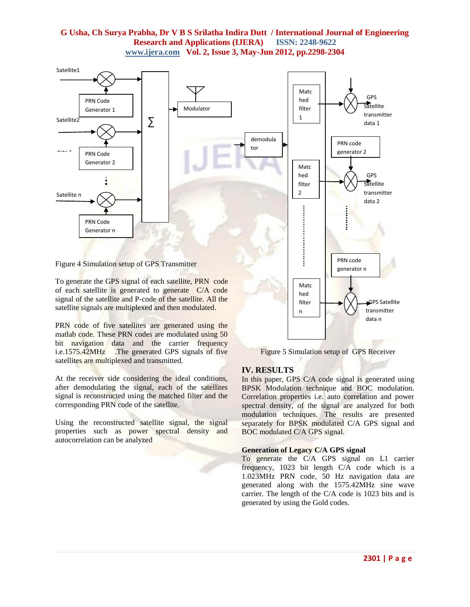

Figure 4 Simulation setup of GPS Transmitter

To generate the GPS signal of each satellite, PRN code of each satellite is generated to generate C/A code signal of the satellite and P-code of the satellite. All the satellite signals are multiplexed and then modulated.

PRN code of five satellites are generated using the matlab code. These PRN codes are modulated using 50 bit navigation data and the carrier frequency i.e.1575.42MHz .The generated GPS signals of five satellites are multiplexed and transmitted.

At the receiver side considering the ideal conditions, after demodulating the signal, each of the satellites signal is reconstructed using the matched filter and the corresponding PRN code of the satellite.

Using the reconstructed satellite signal, the signal properties such as power spectral density and autocorrelation can be analyzed



Figure 5 Simulation setup of GPS Receiver

In this paper, GPS C/A code signal is generated using BPSK Modulation technique and BOC modulation. Correlation properties i.e. auto correlation and power spectral density, of the signal are analyzed for both modulation techniques. The results are presented separately for BPSK modulated C/A GPS signal and BOC modulated C/A GPS signal.

#### **Generation of Legacy C/A GPS signal**

Matc hed filter n

To generate the C/A GPS signal on L1 carrier frequency, 1023 bit length C/A code which is a 1.023MHz PRN code, 50 Hz navigation data are generated along with the 1575.42MHz sine wave carrier. The length of the C/A code is 1023 bits and is generated by using the Gold codes.

 GPS Satellite transmitter data n

generator n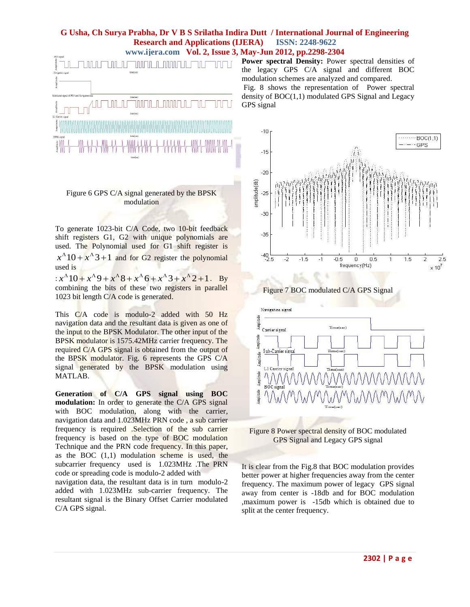

## Figure 6 GPS C/A signal generated by the BPSK modulation

To generate 1023-bit C/A Code, two 10-bit feedback shift registers G1, G2 with unique polynomials are used. The Polynomial used for G1 shift register is  $x^{\Lambda}10 + x^{\Lambda}3 + 1$  and for G2 register the polynomial used is

 $x^{\Lambda}10 + x^{\Lambda}9 + x^{\Lambda}8 + x^{\Lambda}6 + x^{\Lambda}3 + x^{\Lambda}2 + 1$ . By combining the bits of these two registers in parallel 1023 bit length C/A code is generated.

This C/A code is modulo-2 added with 50 Hz navigation data and the resultant data is given as one of the input to the BPSK Modulator. The other input of the BPSK modulator is 1575.42MHz carrier frequency. The required C/A GPS signal is obtained from the output of the BPSK modulator. Fig. 6 represents the GPS C/A signal generated by the BPSK modulation using MATLAB.

**Generation of C/A GPS signal using BOC modulation:** In order to generate the C/A GPS signal with BOC modulation, along with the carrier, navigation data and 1.023MHz PRN code , a sub carrier frequency is required .Selection of the sub carrier frequency is based on the type of BOC modulation Technique and the PRN code frequency. In this paper, as the BOC (1,1) modulation scheme is used, the subcarrier frequency used is 1.023MHz .The PRN code or spreading code is modulo-2 added with

navigation data, the resultant data is in turn modulo-2 added with 1.023MHz sub-carrier frequency. The resultant signal is the Binary Offset Carrier modulated C/A GPS signal.

**Power spectral Density:** Power spectral densities of the legacy GPS C/A signal and different BOC modulation schemes are analyzed and compared. Fig. 8 shows the representation of Power spectral density of BOC(1,1) modulated GPS Signal and Legacy GPS signal







Figure 8 Power spectral density of BOC modulated GPS Signal and Legacy GPS signal

It is clear from the Fig.8 that BOC modulation provides better power at higher frequencies away from the center frequency. The maximum power of legacy GPS signal away from center is -18db and for BOC modulation ,maximum power is -15db which is obtained due to split at the center frequency.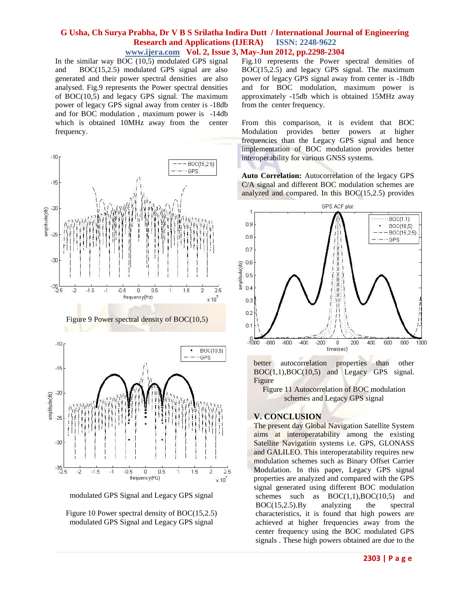In the similar way BOC (10,5) modulated GPS signal and BOC(15,2.5) modulated GPS signal are also generated and their power spectral densities are also analysed. Fig.9 represents the Power spectral densities of BOC(10,5) and legacy GPS signal. The maximum power of legacy GPS signal away from center is -18db and for BOC modulation , maximum power is -14db which is obtained 10MHz away from the center frequency.



modulated GPS Signal and Legacy GPS signal

Figure 10 Power spectral density of BOC(15,2.5) modulated GPS Signal and Legacy GPS signal

Fig.10 represents the Power spectral densities of BOC(15,2.5) and legacy GPS signal. The maximum power of legacy GPS signal away from center is -18db and for BOC modulation, maximum power is approximately -15db which is obtained 15MHz away from the center frequency.

From this comparison, it is evident that BOC Modulation provides better powers at higher frequencies than the Legacy GPS signal and hence implementation of BOC modulation provides better interoperability for various GNSS systems.

**Auto Correlation:** Autocorrelation of the legacy GPS C/A signal and different BOC modulation schemes are analyzed and compared. In this BOC(15,2.5) provides



better autocorrelation properties than other  $BOC(1,1), BOC(10,5)$  and Legacy GPS signal. Figure

Figure 11 Autocorrelation of BOC modulation schemes and Legacy GPS signal

#### **V. CONCLUSION**

The present day Global Navigation Satellite System aims at interoperatability among the existing Satellite Navigation systems i.e. GPS, GLONASS and GALILEO. This interoperatability requires new modulation schemes such as Binary Offset Carrier Modulation. In this paper, Legacy GPS signal properties are analyzed and compared with the GPS signal generated using different BOC modulation schemes such as  $BOC(1,1),BOC(10,5)$  and BOC(15,2.5).By analyzing the spectral characteristics, it is found that high powers are achieved at higher frequencies away from the center frequency using the BOC modulated GPS signals . These high powers obtained are due to the